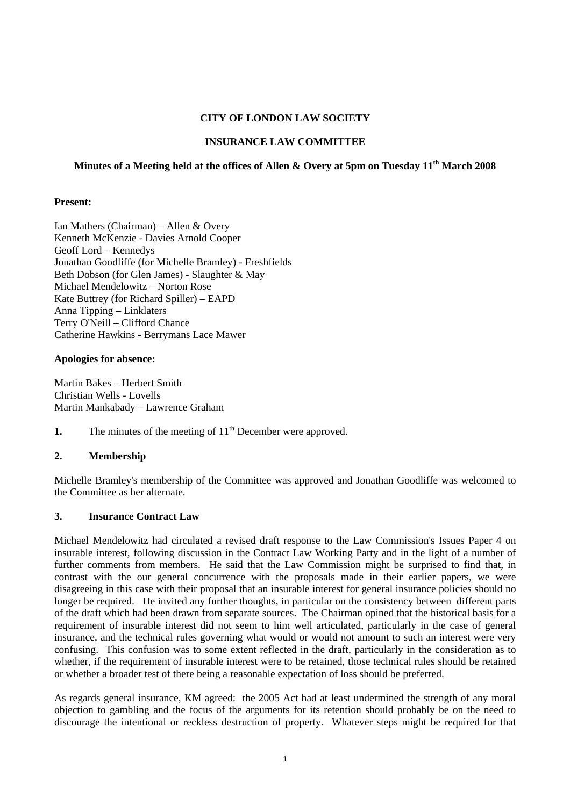### **CITY OF LONDON LAW SOCIETY**

### **INSURANCE LAW COMMITTEE**

# Minutes of a Meeting held at the offices of Allen & Overy at 5pm on Tuesday 11<sup>th</sup> March 2008

### **Present:**

Ian Mathers (Chairman) – Allen & Overy Kenneth McKenzie - Davies Arnold Cooper Geoff Lord – Kennedys Jonathan Goodliffe (for Michelle Bramley) - Freshfields Beth Dobson (for Glen James) - Slaughter & May Michael Mendelowitz – Norton Rose Kate Buttrey (for Richard Spiller) – EAPD Anna Tipping – Linklaters Terry O'Neill – Clifford Chance Catherine Hawkins - Berrymans Lace Mawer

#### **Apologies for absence:**

Martin Bakes – Herbert Smith Christian Wells - Lovells Martin Mankabady – Lawrence Graham

**1.** The minutes of the meeting of 11<sup>th</sup> December were approved.

# **2. Membership**

Michelle Bramley's membership of the Committee was approved and Jonathan Goodliffe was welcomed to the Committee as her alternate.

#### **3. Insurance Contract Law**

Michael Mendelowitz had circulated a revised draft response to the Law Commission's Issues Paper 4 on insurable interest, following discussion in the Contract Law Working Party and in the light of a number of further comments from members. He said that the Law Commission might be surprised to find that, in contrast with the our general concurrence with the proposals made in their earlier papers, we were disagreeing in this case with their proposal that an insurable interest for general insurance policies should no longer be required. He invited any further thoughts, in particular on the consistency between different parts of the draft which had been drawn from separate sources. The Chairman opined that the historical basis for a requirement of insurable interest did not seem to him well articulated, particularly in the case of general insurance, and the technical rules governing what would or would not amount to such an interest were very confusing. This confusion was to some extent reflected in the draft, particularly in the consideration as to whether, if the requirement of insurable interest were to be retained, those technical rules should be retained or whether a broader test of there being a reasonable expectation of loss should be preferred.

As regards general insurance, KM agreed: the 2005 Act had at least undermined the strength of any moral objection to gambling and the focus of the arguments for its retention should probably be on the need to discourage the intentional or reckless destruction of property. Whatever steps might be required for that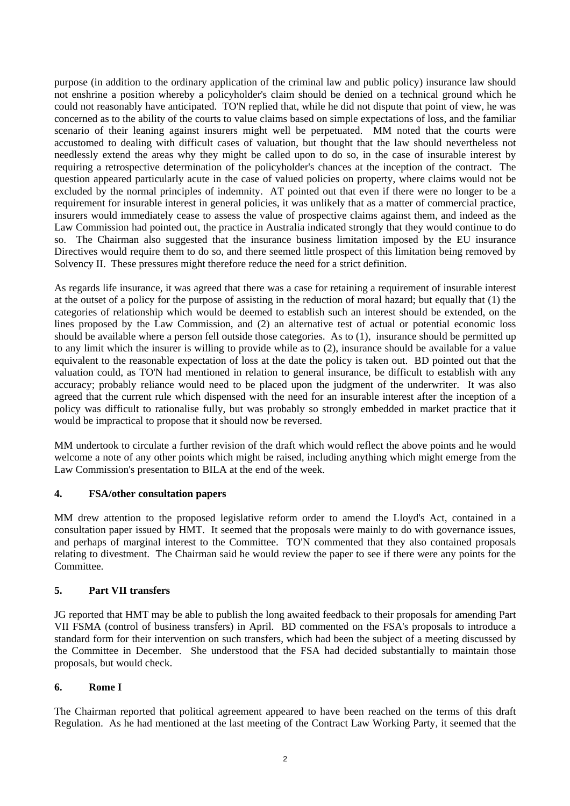purpose (in addition to the ordinary application of the criminal law and public policy) insurance law should not enshrine a position whereby a policyholder's claim should be denied on a technical ground which he could not reasonably have anticipated. TO'N replied that, while he did not dispute that point of view, he was concerned as to the ability of the courts to value claims based on simple expectations of loss, and the familiar scenario of their leaning against insurers might well be perpetuated. MM noted that the courts were accustomed to dealing with difficult cases of valuation, but thought that the law should nevertheless not needlessly extend the areas why they might be called upon to do so, in the case of insurable interest by requiring a retrospective determination of the policyholder's chances at the inception of the contract. The question appeared particularly acute in the case of valued policies on property, where claims would not be excluded by the normal principles of indemnity. AT pointed out that even if there were no longer to be a requirement for insurable interest in general policies, it was unlikely that as a matter of commercial practice, insurers would immediately cease to assess the value of prospective claims against them, and indeed as the Law Commission had pointed out, the practice in Australia indicated strongly that they would continue to do so. The Chairman also suggested that the insurance business limitation imposed by the EU insurance Directives would require them to do so, and there seemed little prospect of this limitation being removed by Solvency II. These pressures might therefore reduce the need for a strict definition.

As regards life insurance, it was agreed that there was a case for retaining a requirement of insurable interest at the outset of a policy for the purpose of assisting in the reduction of moral hazard; but equally that (1) the categories of relationship which would be deemed to establish such an interest should be extended, on the lines proposed by the Law Commission, and (2) an alternative test of actual or potential economic loss should be available where a person fell outside those categories. As to (1), insurance should be permitted up to any limit which the insurer is willing to provide while as to (2), insurance should be available for a value equivalent to the reasonable expectation of loss at the date the policy is taken out. BD pointed out that the valuation could, as TO'N had mentioned in relation to general insurance, be difficult to establish with any accuracy; probably reliance would need to be placed upon the judgment of the underwriter. It was also agreed that the current rule which dispensed with the need for an insurable interest after the inception of a policy was difficult to rationalise fully, but was probably so strongly embedded in market practice that it would be impractical to propose that it should now be reversed.

MM undertook to circulate a further revision of the draft which would reflect the above points and he would welcome a note of any other points which might be raised, including anything which might emerge from the Law Commission's presentation to BILA at the end of the week.

## **4. FSA/other consultation papers**

MM drew attention to the proposed legislative reform order to amend the Lloyd's Act, contained in a consultation paper issued by HMT. It seemed that the proposals were mainly to do with governance issues, and perhaps of marginal interest to the Committee. TO'N commented that they also contained proposals relating to divestment. The Chairman said he would review the paper to see if there were any points for the Committee.

## **5. Part VII transfers**

JG reported that HMT may be able to publish the long awaited feedback to their proposals for amending Part VII FSMA (control of business transfers) in April. BD commented on the FSA's proposals to introduce a standard form for their intervention on such transfers, which had been the subject of a meeting discussed by the Committee in December. She understood that the FSA had decided substantially to maintain those proposals, but would check.

## **6. Rome I**

The Chairman reported that political agreement appeared to have been reached on the terms of this draft Regulation. As he had mentioned at the last meeting of the Contract Law Working Party, it seemed that the